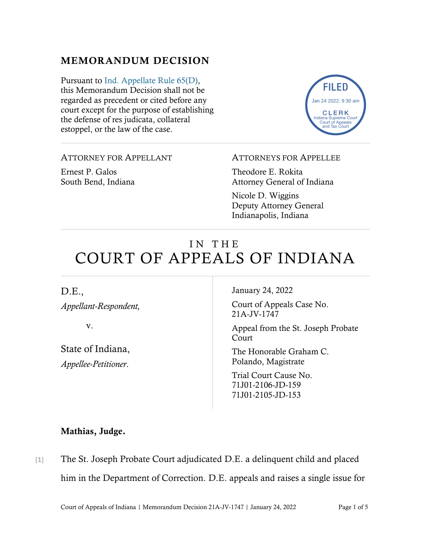## MEMORANDUM DECISION

Pursuant to [Ind. Appellate Rule 65\(D\),](https://www.westlaw.com/Document/N9F7F97E10B2B11EAB3BAC09E1BEAB78F/View/FullText.html?transitionType=Default&contextData=(sc.Default)&VR=3.0&RS=da3.0) this Memorandum Decision shall not be regarded as precedent or cited before any court except for the purpose of establishing the defense of res judicata, collateral estoppel, or the law of the case.



#### ATTORNEY FOR APPELLANT

Ernest P. Galos South Bend, Indiana

#### ATTORNEYS FOR APPELLEE

Theodore E. Rokita Attorney General of Indiana

Nicole D. Wiggins Deputy Attorney General Indianapolis, Indiana

# IN THE COURT OF APPEALS OF INDIANA

## D.E., *Appellant-Respondent,*

v.

State of Indiana, *Appellee-Petitioner*.

January 24, 2022

Court of Appeals Case No. 21A-JV-1747

Appeal from the St. Joseph Probate Court

The Honorable Graham C. Polando, Magistrate

Trial Court Cause No. 71J01-2106-JD-159 71J01-2105-JD-153

#### Mathias, Judge.

[1] The St. Joseph Probate Court adjudicated D.E. a delinquent child and placed him in the Department of Correction. D.E. appeals and raises a single issue for

Court of Appeals of Indiana | Memorandum Decision 21A-JV-1747 | January 24, 2022 Page 1 of 5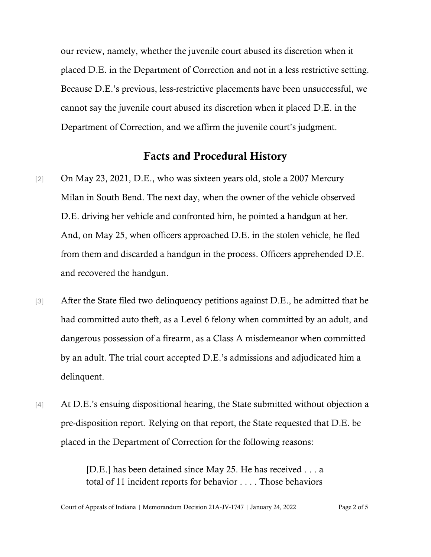our review, namely, whether the juvenile court abused its discretion when it placed D.E. in the Department of Correction and not in a less restrictive setting. Because D.E.'s previous, less-restrictive placements have been unsuccessful, we cannot say the juvenile court abused its discretion when it placed D.E. in the Department of Correction, and we affirm the juvenile court's judgment.

## Facts and Procedural History

- [2] On May 23, 2021, D.E., who was sixteen years old, stole a 2007 Mercury Milan in South Bend. The next day, when the owner of the vehicle observed D.E. driving her vehicle and confronted him, he pointed a handgun at her. And, on May 25, when officers approached D.E. in the stolen vehicle, he fled from them and discarded a handgun in the process. Officers apprehended D.E. and recovered the handgun.
- [3] After the State filed two delinquency petitions against D.E., he admitted that he had committed auto theft, as a Level 6 felony when committed by an adult, and dangerous possession of a firearm, as a Class A misdemeanor when committed by an adult. The trial court accepted D.E.'s admissions and adjudicated him a delinquent.
- [4] At D.E.'s ensuing dispositional hearing, the State submitted without objection a pre-disposition report. Relying on that report, the State requested that D.E. be placed in the Department of Correction for the following reasons:

[D.E.] has been detained since May 25. He has received . . . a total of 11 incident reports for behavior . . . . Those behaviors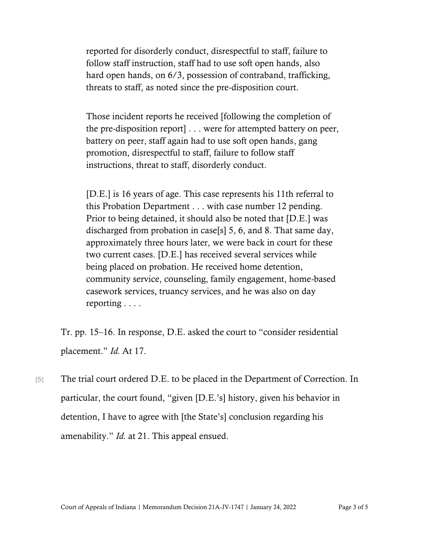reported for disorderly conduct, disrespectful to staff, failure to follow staff instruction, staff had to use soft open hands, also hard open hands, on 6/3, possession of contraband, trafficking, threats to staff, as noted since the pre-disposition court.

Those incident reports he received [following the completion of the pre-disposition report] . . . were for attempted battery on peer, battery on peer, staff again had to use soft open hands, gang promotion, disrespectful to staff, failure to follow staff instructions, threat to staff, disorderly conduct.

[D.E.] is 16 years of age. This case represents his 11th referral to this Probation Department . . . with case number 12 pending. Prior to being detained, it should also be noted that [D.E.] was discharged from probation in case[s] 5, 6, and 8. That same day, approximately three hours later, we were back in court for these two current cases. [D.E.] has received several services while being placed on probation. He received home detention, community service, counseling, family engagement, home-based casework services, truancy services, and he was also on day reporting . . . .

Tr. pp. 15–16. In response, D.E. asked the court to "consider residential placement." *Id.* At 17.

[5] The trial court ordered D.E. to be placed in the Department of Correction. In particular, the court found, "given [D.E.'s] history, given his behavior in detention, I have to agree with [the State's] conclusion regarding his amenability." *Id.* at 21. This appeal ensued.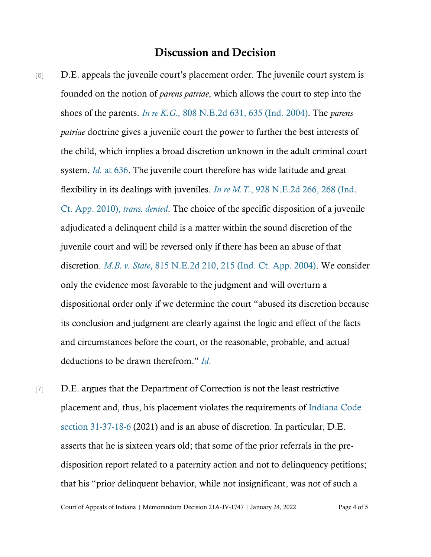## Discussion and Decision

- [6] D.E. appeals the juvenile court's placement order. The juvenile court system is founded on the notion of *parens patriae*, which allows the court to step into the shoes of the parents. *In re K.G.,* [808 N.E.2d 631,](https://www.westlaw.com/Document/I3e6128c7d44f11d983e7e9deff98dc6f/View/FullText.html?transitionType=Default&contextData=(sc.Default)&VR=3.0&RS=da3.0&fragmentIdentifier=co_pp_sp_578_635) 635 [\(Ind. 2004\).](https://www.westlaw.com/Document/I3e6128c7d44f11d983e7e9deff98dc6f/View/FullText.html?transitionType=Default&contextData=(sc.Default)&VR=3.0&RS=da3.0&fragmentIdentifier=co_pp_sp_578_635) The *parens patriae* doctrine gives a juvenile court the power to further the best interests of the child, which implies a broad discretion unknown in the adult criminal court system. *[Id.](https://www.westlaw.com/Document/I3e6128c7d44f11d983e7e9deff98dc6f/View/FullText.html?transitionType=Default&contextData=(sc.Default)&VR=3.0&RS=da3.0&fragmentIdentifier=co_pp_sp_578_636)* [at 636.](https://www.westlaw.com/Document/I3e6128c7d44f11d983e7e9deff98dc6f/View/FullText.html?transitionType=Default&contextData=(sc.Default)&VR=3.0&RS=da3.0&fragmentIdentifier=co_pp_sp_578_636) The juvenile court therefore has wide latitude and great flexibility in its dealings with juveniles. *In re M.T.*[, 928 N.E.2d 266,](https://www.westlaw.com/Document/I4c0fe9fe79bf11dfbd1deb0d18fe7234/View/FullText.html?transitionType=Default&contextData=(sc.Default)&VR=3.0&RS=cblt1.0) 268 [\(Ind.](https://www.westlaw.com/Document/I4c0fe9fe79bf11dfbd1deb0d18fe7234/View/FullText.html?transitionType=Default&contextData=(sc.Default)&VR=3.0&RS=cblt1.0)  [Ct. App. 2010\),](https://www.westlaw.com/Document/I4c0fe9fe79bf11dfbd1deb0d18fe7234/View/FullText.html?transitionType=Default&contextData=(sc.Default)&VR=3.0&RS=cblt1.0) *trans. denied*. The choice of the specific disposition of a juvenile adjudicated a delinquent child is a matter within the sound discretion of the juvenile court and will be reversed only if there has been an abuse of that discretion. *[M.B. v. State](https://www.westlaw.com/Document/I5d43b848d45811d9a489ee624f1f6e1a/View/FullText.html?transitionType=Default&contextData=(sc.Default)&VR=3.0&RS=da3.0&fragmentIdentifier=co_pp_sp_578_215)*[, 815 N.E.2d 210, 215 \(Ind. Ct. App. 2004\).](https://www.westlaw.com/Document/I5d43b848d45811d9a489ee624f1f6e1a/View/FullText.html?transitionType=Default&contextData=(sc.Default)&VR=3.0&RS=da3.0&fragmentIdentifier=co_pp_sp_578_215) We consider only the evidence most favorable to the judgment and will overturn a dispositional order only if we determine the court "abused its discretion because its conclusion and judgment are clearly against the logic and effect of the facts and circumstances before the court, or the reasonable, probable, and actual deductions to be drawn therefrom." *[Id](https://www.westlaw.com/Document/I5d43b848d45811d9a489ee624f1f6e1a/View/FullText.html?transitionType=Default&contextData=(sc.Default)&VR=3.0&RS=da3.0)*[.](https://www.westlaw.com/Document/I5d43b848d45811d9a489ee624f1f6e1a/View/FullText.html?transitionType=Default&contextData=(sc.Default)&VR=3.0&RS=da3.0)
- [7] D.E. argues that the Department of Correction is not the least restrictive placement and, thus, his placement violates the requirements of [Indiana Code](https://www.westlaw.com/Document/N5D6B4F90816711DB8132CD13D2280436/View/FullText.html?transitionType=Default&contextData=(sc.Default)&VR=3.0&RS=da3.0)  [section 31-37-18-6](https://www.westlaw.com/Document/N5D6B4F90816711DB8132CD13D2280436/View/FullText.html?transitionType=Default&contextData=(sc.Default)&VR=3.0&RS=da3.0) (2021) and is an abuse of discretion. In particular, D.E. asserts that he is sixteen years old; that some of the prior referrals in the predisposition report related to a paternity action and not to delinquency petitions; that his "prior delinquent behavior, while not insignificant, was not of such a

Court of Appeals of Indiana | Memorandum Decision 21A-JV-1747 | January 24, 2022 Page 4 of 5